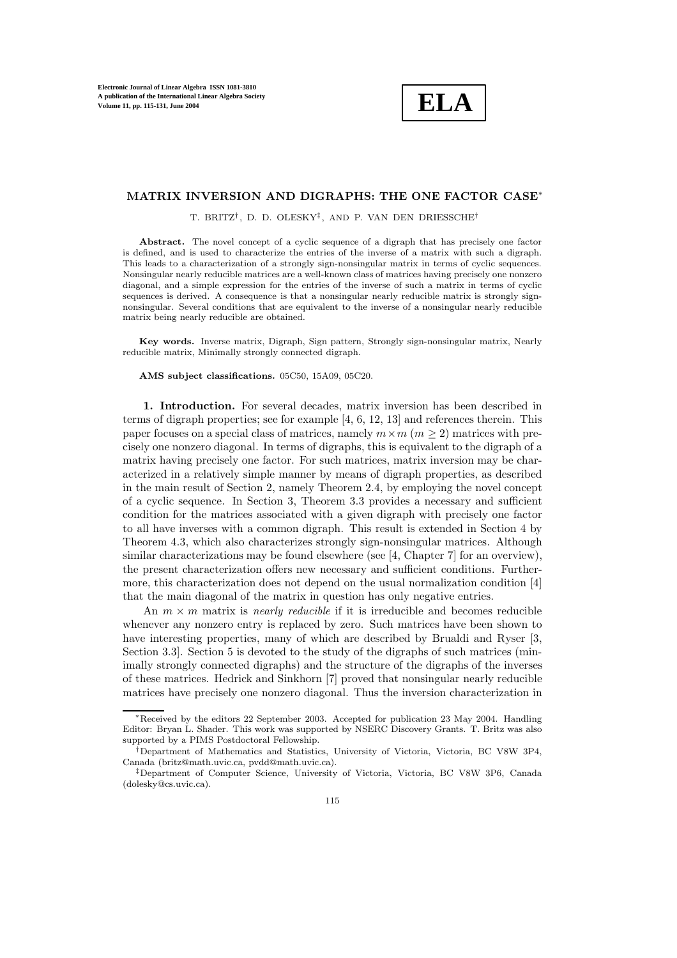**ELA**

## **MATRIX INVERSION AND DIGRAPHS: THE ONE FACTOR CASE**∗

T. BRITZ†, D. D. OLESKY‡, AND P. VAN DEN DRIESSCHE†

Abstract. The novel concept of a cyclic sequence of a digraph that has precisely one factor is defined, and is used to characterize the entries of the inverse of a matrix with such a digraph. This leads to a characterization of a strongly sign-nonsingular matrix in terms of cyclic sequences. Nonsingular nearly reducible matrices are a well-known class of matrices having precisely one nonzero diagonal, and a simple expression for the entries of the inverse of such a matrix in terms of cyclic sequences is derived. A consequence is that a nonsingular nearly reducible matrix is strongly signnonsingular. Several conditions that are equivalent to the inverse of a nonsingular nearlyreducible matrix being nearly reducible are obtained.

**Key words.** Inverse matrix, Digraph, Sign pattern, Stronglysign-nonsingular matrix, Nearly reducible matrix, Minimally strongly connected digraph.

**AMS subject classifications.** 05C50, 15A09, 05C20.

**1. Introduction.** For several decades, matrix inversion has been described in terms of digraph properties; see for example [4, 6, 12, 13] and references therein. This paper focuses on a special class of matrices, namely  $m \times m$  ( $m > 2$ ) matrices with precisely one nonzero diagonal. In terms of digraphs, this is equivalent to the digraph of a matrix having precisely one factor. For such matrices, matrix inversion may be characterized in a relatively simple manner by means of digraph properties, as described in the main result of Section 2, namely Theorem 2.4, by employing the novel concept of a cyclic sequence. In Section 3, Theorem 3.3 provides a necessary and sufficient condition for the matrices associated with a given digraph with precisely one factor to all have inverses with a common digraph. This result is extended in Section 4 by Theorem 4.3, which also characterizes strongly sign-nonsingular matrices. Although similar characterizations may be found elsewhere (see [4, Chapter 7] for an overview), the present characterization offers new necessary and sufficient conditions. Furthermore, this characterization does not depend on the usual normalization condition [4] that the main diagonal of the matrix in question has only negative entries.

An  $m \times m$  matrix is *nearly reducible* if it is irreducible and becomes reducible whenever any nonzero entry is replaced by zero. Such matrices have been shown to have interesting properties, many of which are described by Brualdi and Ryser [3, Section 3.3]. Section 5 is devoted to the study of the digraphs of such matrices (minimally strongly connected digraphs) and the structure of the digraphs of the inverses of these matrices. Hedrick and Sinkhorn [7] proved that nonsingular nearly reducible matrices have precisely one nonzero diagonal. Thus the inversion characterization in

<sup>∗</sup>Received bythe editors 22 September 2003. Accepted for publication 23 May2004. Handling Editor: Bryan L. Shader. This work was supported byNSERC DiscoveryGrants. T. Britz was also supported by a PIMS Postdoctoral Fellowship.

<sup>†</sup>Department of Mathematics and Statistics, Universityof Victoria, Victoria, BC V8W 3P4, Canada (britz@math.uvic.ca, pvdd@math.uvic.ca).

<sup>‡</sup>Department of Computer Science, Universityof Victoria, Victoria, BC V8W 3P6, Canada (dolesky@cs.uvic.ca).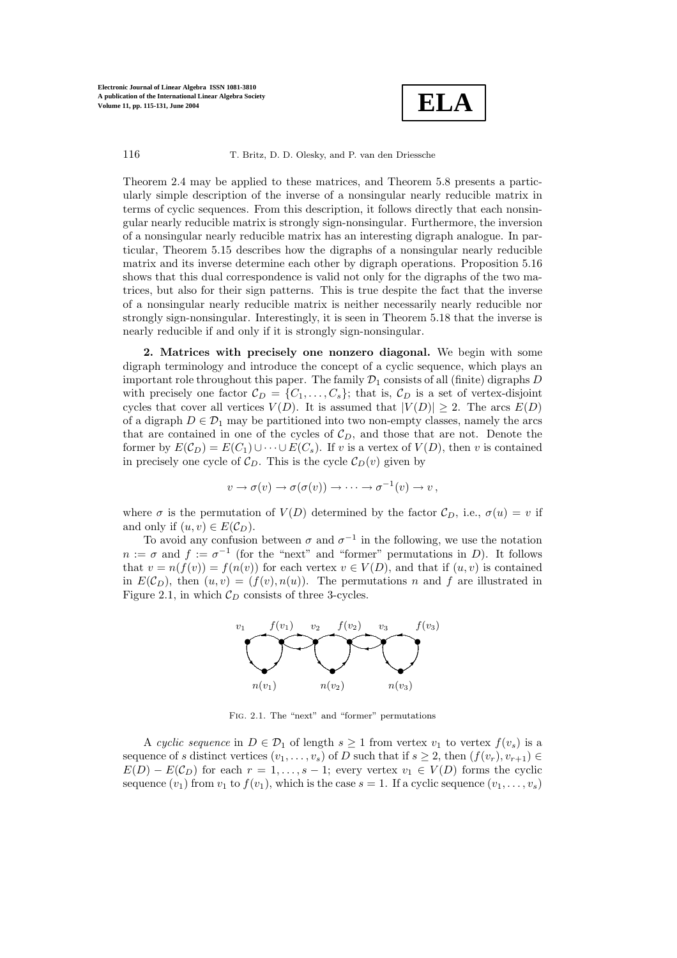

Theorem 2.4 may be applied to these matrices, and Theorem 5.8 presents a particularly simple description of the inverse of a nonsingular nearly reducible matrix in terms of cyclic sequences. From this description, it follows directly that each nonsingular nearly reducible matrix is strongly sign-nonsingular. Furthermore, the inversion of a nonsingular nearly reducible matrix has an interesting digraph analogue. In particular, Theorem 5.15 describes how the digraphs of a nonsingular nearly reducible matrix and its inverse determine each other by digraph operations. Proposition 5.16 shows that this dual correspondence is valid not only for the digraphs of the two matrices, but also for their sign patterns. This is true despite the fact that the inverse of a nonsingular nearly reducible matrix is neither necessarily nearly reducible nor strongly sign-nonsingular. Interestingly, it is seen in Theorem 5.18 that the inverse is nearly reducible if and only if it is strongly sign-nonsingular.

2. Matrices with precisely one nonzero diagonal. We begin with some digraph terminology and introduce the concept of a cyclic sequence, which plays an important role throughout this paper. The family  $\mathcal{D}_1$  consists of all (finite) digraphs D with precisely one factor  $\mathcal{C}_D = \{C_1, \ldots, C_s\}$ ; that is,  $\mathcal{C}_D$  is a set of vertex-disjoint cycles that cover all vertices  $V(D)$ . It is assumed that  $|V(D)| \geq 2$ . The arcs  $F(D)$ cycles that cover all vertices  $V(D)$ . It is assumed that  $|V(D)| \geq 2$ . The arcs  $E(D)$ <br>of a digraph  $D \in \mathcal{D}$ , may be partitioned into two pop-empty classes, pamely the arcs of a digraph  $D \in \mathcal{D}_1$  may be partitioned into two non-empty classes, namely the arcs that are contained in one of the cycles of  $\mathcal{C}_D$ , and those that are not. Denote the former by  $E(\mathcal{C}_D) = E(C_1) \cup \cdots \cup E(C_s)$ . If v is a vertex of  $V(D)$ , then v is contained in precisely one cycle of  $\mathcal{C}_D$ . This is the cycle  $\mathcal{C}_D(v)$  given by

$$
v \to \sigma(v) \to \sigma(\sigma(v)) \to \cdots \to \sigma^{-1}(v) \to v,
$$

where  $\sigma$  is the permutation of  $V(D)$  determined by the factor  $\mathcal{C}_D$ , i.e.,  $\sigma(u) = v$  if and only if  $(u, v) \in E(C_D)$ .

To avoid any confusion between  $\sigma$  and  $\sigma^{-1}$  in the following, we use the notation  $n := \sigma$  and  $f := \sigma^{-1}$  (for the "next" and "former" permutations in D). It follows that  $v = n(f(v)) = f(n(v))$  for each vertex  $v \in V(D)$ , and that if  $(u, v)$  is contained in  $E(\mathcal{C}_D)$ , then  $(u, v)=(f(v), n(u))$ . The permutations n and f are illustrated in Figure 2.1, in which  $\mathcal{C}_D$  consists of three 3-cycles.



Fig. 2.1. The "next" and "former" permutations

A cyclic sequence in  $D \in \mathcal{D}_1$  of length  $s \geq 1$  from vertex  $v_1$  to vertex  $f(v_s)$  is a sequence of s distinct vertices  $(v_1,\ldots,v_s)$  of D such that if  $s\geq 2$ , then  $(f(v_r), v_{r+1}) \in$  $E(D) - E(\mathcal{C}_D)$  for each  $r = 1, \ldots, s - 1$ ; every vertex  $v_1 \in V(D)$  forms the cyclic sequence  $(v_1)$  from  $v_1$  to  $f(v_1)$ , which is the case  $s = 1$ . If a cyclic sequence  $(v_1, \ldots, v_s)$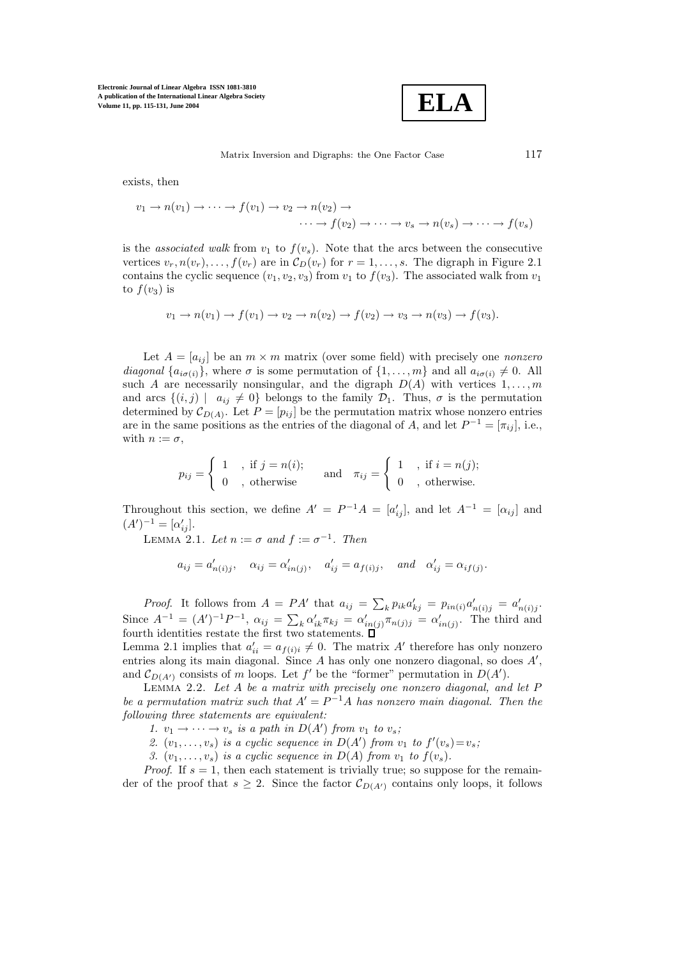

exists, then

$$
v_1 \to n(v_1) \to \cdots \to f(v_1) \to v_2 \to n(v_2) \to \cdots \to v_s \to n(v_s) \to \cdots \to f(v_s)
$$
  

$$
\cdots \to f(v_2) \to \cdots \to v_s \to n(v_s) \to \cdots \to f(v_s)
$$

is the *associated walk* from  $v_1$  to  $f(v_s)$ . Note that the arcs between the consecutive vertices  $v_r, n(v_r), \ldots, f(v_r)$  are in  $\mathcal{C}_D(v_r)$  for  $r = 1, \ldots, s$ . The digraph in Figure 2.1 contains the cyclic sequence  $(v_1, v_2, v_3)$  from  $v_1$  to  $f(v_3)$ . The associated walk from  $v_1$ to  $f(v_3)$  is

$$
v_1 \to n(v_1) \to f(v_1) \to v_2 \to n(v_2) \to f(v_2) \to v_3 \to n(v_3) \to f(v_3).
$$

Let  $A = [a_{ij}]$  be an  $m \times m$  matrix (over some field) with precisely one *nonzero diagonal*  $\{a_{i\sigma(i)}\}$ , where  $\sigma$  is some permutation of  $\{1,\ldots,m\}$  and all  $a_{i\sigma(i)} \neq 0$ . All such A are necessarily nonsingular, and the digraph  $D(A)$  with vertices  $1, \ldots, m$ and arcs  $\{(i,j) \mid a_{ij} \neq 0\}$  belongs to the family  $\mathcal{D}_1$ . Thus,  $\sigma$  is the permutation determined by  $\mathcal{C}_{D(A)}$ . Let  $P = [p_{ij}]$  be the permutation matrix whose nonzero entries are in the same positions as the entries of the diagonal of A, and let  $P^{-1} = [\pi_{ij}]$ , i.e., with  $n := \sigma$ ,

$$
p_{ij} = \begin{cases} 1, & \text{if } j = n(i); \\ 0, & \text{otherwise} \end{cases} \quad \text{and} \quad \pi_{ij} = \begin{cases} 1, & \text{if } i = n(j); \\ 0, & \text{otherwise}. \end{cases}
$$

Throughout this section, we define  $A' = P^{-1}A = [a'_{ij}]$ , and let  $A^{-1} = [\alpha_{ij}]$  and  $(A')^{-1} = [\alpha'_{ij}]$  $(A')^{-1} = [\alpha'_{ij}].$ <br>
LEMAA 2

LEMMA 2.1. Let  $n := \sigma$  and  $f := \sigma^{-1}$ . Then

$$
a_{ij} = a'_{n(i)j}, \quad \alpha_{ij} = \alpha'_{in(j)}, \quad a'_{ij} = a_{f(i)j}, \quad \text{and} \quad \alpha'_{ij} = \alpha_{if(j)}.
$$

*Proof.* It follows from  $A = PA'$  that  $a_{ij} = \sum_k p_{ik} a'_{kj} = p_{in(i)} a'_{n(i)j} = a'_{n(i)j}$ . Since  $A^{-1} = (A')^{-1}P^{-1}$ ,  $\alpha_{ij} = \sum_k \alpha'_{ik} \pi_{kj} = \alpha'_{in(j)} \pi_{n(j)j} = \alpha'_{in(j)}$ . The third and fourth identities restate the first two statements  $\Pi$ fourth identities restate the first two statements.

Lemma 2.1 implies that  $a'_{ii} = a_{f(i)i} \neq 0$ . The matrix A' therefore has only nonzero<br>entries along its main diagonal. Since A has only one nonzero diagonal, so does A' entries along its main diagonal. Since A has only one nonzero diagonal, so does  $A'$ ,<br>and  $C_{\text{DCA}}$  consists of m loops. Let  $f'$  be the "former" permutation in  $D(A')$ and  $\mathcal{C}_{D(A')}$  consists of m loops. Let f' be the "former" permutation in  $D(A')$ .<br>LEMMA 2.2. Let A be a matrix with precisely one nonzero diagonal and

Lemma 2.2. *Let* A *be a matrix with precisely one nonzero diagonal, and let* P *be a permutation matrix such that*  $A' = P^{-1}A$  *has nonzero main diagonal. Then the following three statements are equivalent:*

1.  $v_1 \rightarrow \cdots \rightarrow v_s$  *is a path in*  $D(A')$  *from*  $v_1$  *to*  $v_s$ ;<br>2.  $(v_1, \ldots, v_n)$  *is a cuclic sequence in*  $D(A')$  *from i* 

2.  $(v_1, \ldots, v_s)$  *is a cyclic sequence in*  $D(A')$  *from*  $v_1$  *to*  $f'(v_s) = v_s$ ;<br><sup>2</sup>.  $(v_1, \ldots, v_s)$  *is a cyclic sequence in*  $D(A)$  *from*  $v_1$  *to*  $f(v_1)$ 

*3.*  $(v_1, \ldots, v_s)$  *is a cyclic sequence in*  $D(A)$  *from*  $v_1$  *to*  $f(v_s)$ *.* 

*Proof.* If  $s = 1$ , then each statement is trivially true; so suppose for the remainder of the proof that  $s \geq 2$ . Since the factor  $\mathcal{C}_{D(A')}$  contains only loops, it follows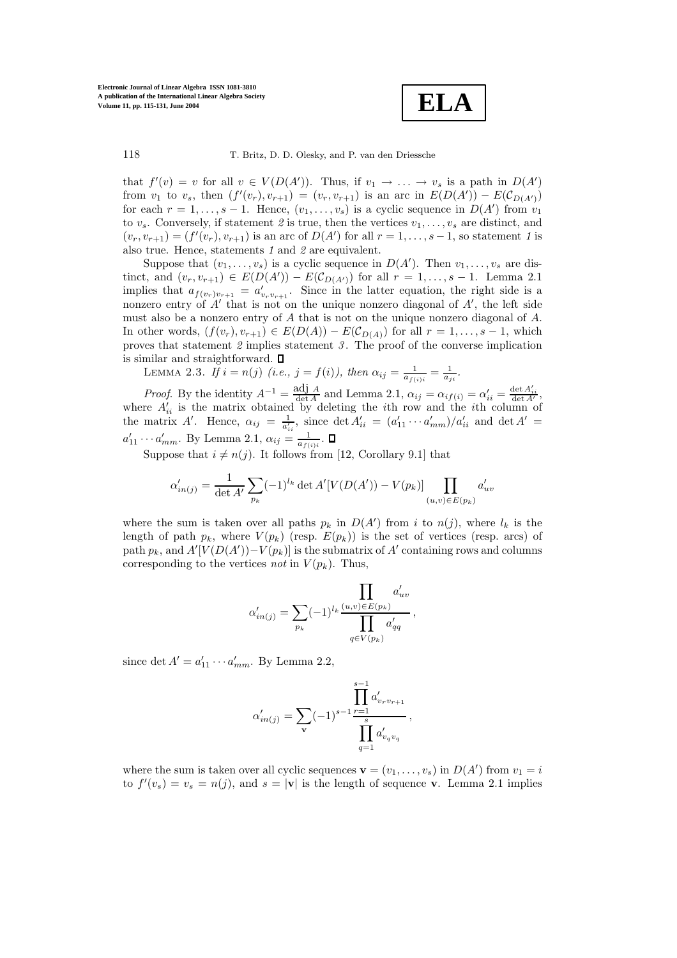

that  $f'(v) = v$  for all  $v \in V(D(A'))$ . Thus, if  $v_1 \to \ldots \to v_s$  is a path in  $D(A')$ <br>from  $v_1$  to  $v_2$  then  $(f'(v_1), v_2, \ldots) = (v_1, v_2, \ldots)$  is an arc in  $F(D(A')) = F(C_{\mathcal{D}}(u))$ from  $v_1$  to  $v_s$ , then  $(f'(v_r), v_{r+1}) = (v_r, v_{r+1})$  is an arc in  $E(D(A')) - E(\mathcal{C}_{D(A')})$ <br>for each  $r-1$  s – 1. Hence  $(v_1, v_1)$  is a cyclic sequence in  $D(A')$  from  $v_s$ for each  $r = 1, \ldots, s - 1$ . Hence,  $(v_1, \ldots, v_s)$  is a cyclic sequence in  $D(A')$  from  $v_1$ <br>to v. Conversely if statement 2 is true, then the vertices  $v_1, \ldots, v_s$  are distinct and to  $v_s$ . Conversely, if statement 2 is true, then the vertices  $v_1, \ldots, v_s$  are distinct, and  $(v_r, v_{r+1}) = (f'(v_r), v_{r+1})$  is an arc of  $D(A')$  for all  $r = 1, \ldots, s-1$ , so statement *1* is<br>also true. Hence statements *1* and *2* are equivalent also true. Hence, statements *1* and *2* are equivalent.

Suppose that  $(v_1, \ldots, v_s)$  is a cyclic sequence in  $D(A')$ . Then  $v_1, \ldots, v_s$  are dis-<br>t and  $(v, v_1, \ldots) \in E(D(A')) = E(C_{D(A)})$  for all  $r = 1$  s = 1. Lemma 2.1 tinct, and  $(v_r, v_{r+1}) \in E(D(A')) - E(\mathcal{C}_{D(A')})$  for all  $r = 1, \ldots, s-1$ . Lemma 2.1<br>implies that  $a_{\ell}$   $\ldots$  =  $a'$  Since in the latter equation, the right side is a implies that  $a_{f(v_r)v_{r+1}} = a'_{v_r v_{r+1}}$ . Since in the latter equation, the right side is a nonzero entry of 4' that is not on the unique popzero diagonal of 4' the left side nonzero entry of  $A'$  that is not on the unique nonzero diagonal of  $A'$ , the left side<br>must also be a nonzero entry of  $A$  that is not on the unique nonzero diagonal of  $A$ must also be a nonzero entry of A that is not on the unique nonzero diagonal of A. In other words,  $(f(v_r), v_{r+1}) \in E(D(A)) - E(\mathcal{C}_{D(A)})$  for all  $r = 1, \ldots, s-1$ , which proves that statement *2* implies statement *3* . The proof of the converse implication is similar and straightforward.  $\square$ 

LEMMA 2.3. *If*  $i = n(j)$  (*i.e.*,  $j = f(i)$ *)*, then  $\alpha_{ij} = \frac{1}{a_{f(i)i}} = \frac{1}{a_{ji}}$ .

*Proof.* By the identity  $A^{-1} = \frac{\text{adj } A}{\det A}$  and Lemma 2.1,  $\alpha_{ij} = \alpha_{if(i)} = \alpha'_{ii} = \frac{\det A'_{ii}}{\det A'}$ , where  $A'_{ii}$  is the matrix obtained by deleting the *i*th row and the *i*th column of<br>the matrix  $A'$ . Hence  $Q_{ii} = \frac{1}{\sqrt{2}}$  since det  $A' = (Q'_{ii}, Q'_{ii})/Q'_{ii}$  and det  $A' =$ the matrix A'. Hence,  $\alpha_{ij} = \frac{1}{a_{ii}^2}$ , since  $\det A'_{ii} = (a'_{11} \cdots a'_{mm})/a'_{ii}$  and  $\det A' =$  $a'_{11} \cdots a'_{mm}$ . By Lemma 2.1,  $\alpha_{ij} = \frac{1}{a_{f(i)i}}$ .

Suppose that  $i \neq n(j)$ . It follows from [12, Corollary 9.1] that

$$
\alpha'_{in(j)} = \frac{1}{\det A'} \sum_{p_k} (-1)^{l_k} \det A'[V(D(A')) - V(p_k)] \prod_{(u,v) \in E(p_k)} a'_{uv}
$$

where the sum is taken over all paths  $p_k$  in  $D(A')$  from i to  $n(j)$ , where  $l_k$  is the length of path  $p_k$ , where  $V(n_k)$  (resp.  $F(n_k)$ ) is the set of vertices (resp. arcs) of length of path  $p_k$ , where  $V(p_k)$  (resp.  $E(p_k)$ ) is the set of vertices (resp. arcs) of path  $p_k$ , and  $A'[V(D(A'))-V(p_k)]$  is the submatrix of A' containing rows and columns corresponding to the vertices not in  $V(p_k)$ . Thus corresponding to the vertices *not* in  $V(p_k)$ . Thus,

$$
\alpha'_{in(j)} = \sum_{p_k} (-1)^{l_k} \frac{\prod_{(u,v) \in E(p_k)} a'_{uv}}{\prod_{q \in V(p_k)} a'_{qq}},
$$

since det  $A' = a'_{11} \cdots a'_{mm}$ . By Lemma 2.2,

$$
\alpha'_{in(j)} = \sum_{\mathbf{v}} (-1)^{s-1} \frac{\prod_{r=1}^{s-1} a'_{v_r v_{r+1}}}{\prod_{q=1}^{s} a'_{v_q v_q}},
$$

where the sum is taken over all cyclic sequences  $\mathbf{v} = (v_1, \dots, v_s)$  in  $D(A')$  from  $v_1 = i$ <br>to  $f'(v_1) = v_1 = p(i)$  and  $s = |\mathbf{v}|$  is the length of sequence **v**. Lemma 2.1 implies to  $f'(v_s) = v_s = n(j)$ , and  $s = |\mathbf{v}|$  is the length of sequence **v**. Lemma 2.1 implies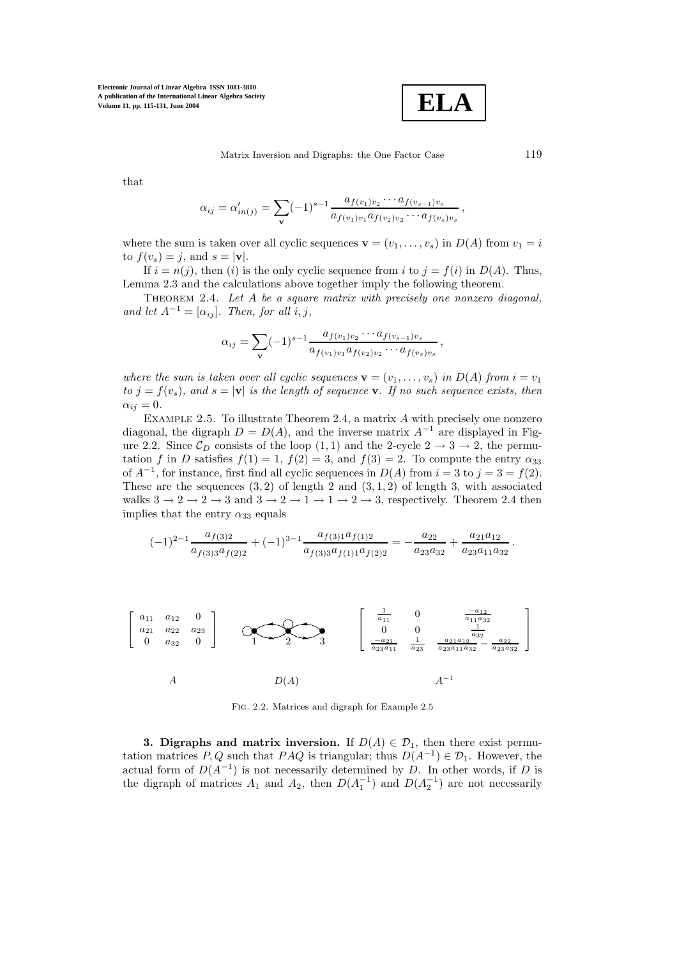

Matrix Inversion and Digraphs: the One Factor Case 119

that

$$
\alpha_{ij} = \alpha'_{in(j)} = \sum_{\mathbf{v}} (-1)^{s-1} \frac{a_{f(v_1)v_2} \cdots a_{f(v_{s-1})v_s}}{a_{f(v_1)v_1} a_{f(v_2)v_2} \cdots a_{f(v_s)v_s}},
$$

where the sum is taken over all cyclic sequences  $\mathbf{v} = (v_1, \ldots, v_s)$  in  $D(A)$  from  $v_1 = i$ to  $f(v_s) = i$ , and  $s = |\mathbf{v}|$ .

If  $i = n(j)$ , then (i) is the only cyclic sequence from i to  $j = f(i)$  in  $D(A)$ . Thus, Lemma 2.3 and the calculations above together imply the following theorem.

Theorem 2.4. *Let* A *be a square matrix with precisely one nonzero diagonal, and let*  $A^{-1} = [\alpha_{ij}]$ *. Then, for all i, j,* 

$$
\alpha_{ij} = \sum_{\mathbf{v}} (-1)^{s-1} \frac{a_{f(v_1)v_2} \cdots a_{f(v_{s-1})v_s}}{a_{f(v_1)v_1} a_{f(v_2)v_2} \cdots a_{f(v_s)v_s}},
$$

*where the sum is taken over all cyclic sequences*  $\mathbf{v} = (v_1, \ldots, v_s)$  *in*  $D(A)$  *from*  $i = v_1$ *to*  $j = f(v_s)$ *,* and  $s = |\mathbf{v}|$  *is the length of sequence* **v***. If no such sequence exists, then*  $\alpha_{ij} = 0.$ 

EXAMPLE 2.5. To illustrate Theorem 2.4, a matrix  $\vec{A}$  with precisely one nonzero diagonal, the digraph  $D = D(A)$ , and the inverse matrix  $A^{-1}$  are displayed in Figure 2.2. Since  $\mathcal{C}_D$  consists of the loop  $(1, 1)$  and the 2-cycle  $2 \rightarrow 3 \rightarrow 2$ , the permutation f in D satisfies  $f(1) = 1$ ,  $f(2) = 3$ , and  $f(3) = 2$ . To compute the entry  $\alpha_{33}$ of  $A^{-1}$ , for instance, first find all cyclic sequences in  $D(A)$  from  $i = 3$  to  $j = 3 = f(2)$ . These are the sequences  $(3, 2)$  of length 2 and  $(3, 1, 2)$  of length 3, with associated walks  $3 \rightarrow 2 \rightarrow 2 \rightarrow 3$  and  $3 \rightarrow 2 \rightarrow 1 \rightarrow 1 \rightarrow 2 \rightarrow 3$ , respectively. Theorem 2.4 then implies that the entry  $\alpha_{33}$  equals

$$
(-1)^{2-1} \frac{a_{f(3)2}}{a_{f(3)3} a_{f(2)2}} + (-1)^{3-1} \frac{a_{f(3)1} a_{f(1)2}}{a_{f(3)3} a_{f(1)1} a_{f(2)2}} = -\frac{a_{22}}{a_{23} a_{32}} + \frac{a_{21} a_{12}}{a_{23} a_{11} a_{32}}
$$



Fig. 2.2. Matrices and digraph for Example 2.5

**3. Digraphs and matrix inversion.** If  $D(A) \in \mathcal{D}_1$ , then there exist permutation matrices P, Q such that PAQ is triangular; thus  $D(A^{-1}) \in \mathcal{D}_1$ . However, the actual form of  $D(A^{-1})$  is not necessarily determined by D. In other words, if D is the digraph of matrices  $A_1$  and  $A_2$ , then  $D(A_1^{-1})$  and  $D(A_2^{-1})$  are not necessarily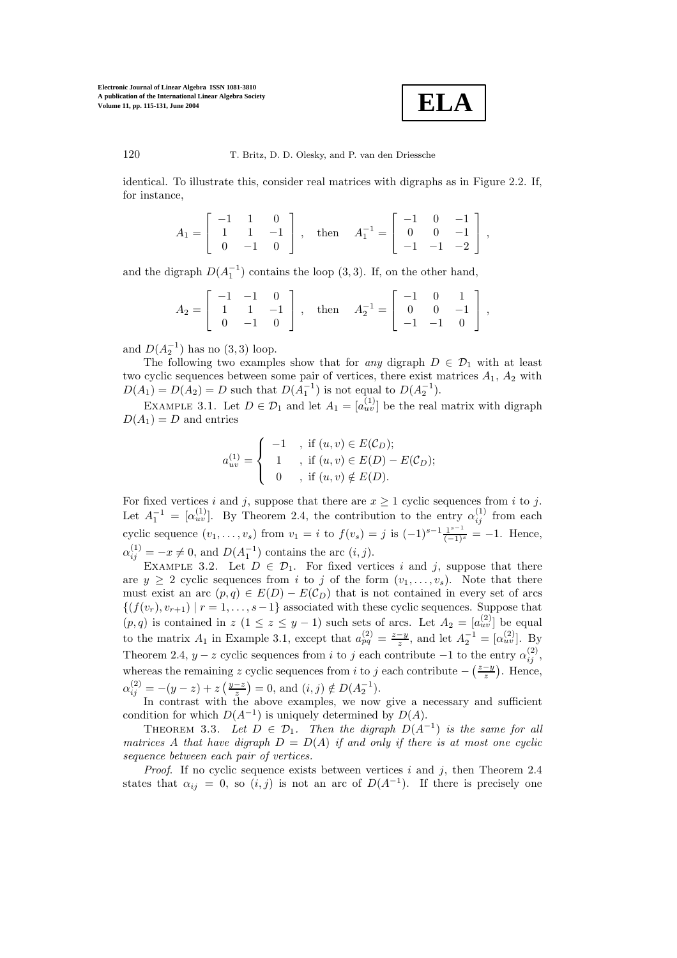

120 T. Britz, D. D. Olesky, and P. van den Driessche

identical. To illustrate this, consider real matrices with digraphs as in Figure 2.2. If, for instance,

$$
A_1 = \left[ \begin{array}{rrr} -1 & 1 & 0 \\ 1 & 1 & -1 \\ 0 & -1 & 0 \end{array} \right] \,, \quad \text{then } \quad A_1^{-1} = \left[ \begin{array}{rrr} -1 & 0 & -1 \\ 0 & 0 & -1 \\ -1 & -1 & -2 \end{array} \right] \,,
$$

and the digraph  $D(A_1^{-1})$  contains the loop (3, 3). If, on the other hand,

$$
A_2 = \begin{bmatrix} -1 & -1 & 0 \\ 1 & 1 & -1 \\ 0 & -1 & 0 \end{bmatrix}, \text{ then } A_2^{-1} = \begin{bmatrix} -1 & 0 & 1 \\ 0 & 0 & -1 \\ -1 & -1 & 0 \end{bmatrix},
$$

and  $D(A_2^{-1})$  has no  $(3,3)$  loop.<br>The following two example

The following two examples show that for *any* digraph  $D \in \mathcal{D}_1$  with at least two cyclic sequences between some pair of vertices, there exist matrices  $A_1$ ,  $A_2$  with  $D(A_1) = D(A_2) = D$  such that  $D(A_1^{-1})$  is not equal to  $D(A_2^{-1})$ .

EXAMPLE 3.1. Let  $D \in \mathcal{D}_1$  and let  $A_1 = [a_{uv}^{(1)}]$  be the real matrix with digraph  $D(A_1) = D$  and entries

$$
a_{uv}^{(1)} = \begin{cases}\n-1, & \text{if } (u, v) \in E(C_D); \\
1, & \text{if } (u, v) \in E(D) - E(C_D); \\
0, & \text{if } (u, v) \notin E(D).\n\end{cases}
$$

For fixed vertices i and j, suppose that there are  $x \ge 1$  cyclic sequences from i to j. Let  $A_1^{-1} = [\alpha_{uv}^{(1)}]$ . By Theorem 2.4, the contribution to the entry  $\alpha_{ij}^{(1)}$  from each cyclic sequence  $(v_1, \ldots, v_s)$  from  $v_1 = i$  to  $f(v_s) = j$  is  $(-1)^{s-1} \frac{1^{s-1}}{(-1)^s} = -1$ . Hence,  $\alpha_{ij}^{(1)} = -x \neq 0$ , and  $D(A_1^{-1})$  contains the arc  $(i, j)$ .<br>EXAMPLE 3.2 Let  $D \in \mathcal{D}$ . For fixed vert

EXAMPLE 3.2. Let  $D \in \mathcal{D}_1$ . For fixed vertices i and j, suppose that there are  $y \geq 2$  cyclic sequences from i to j of the form  $(v_1,\ldots,v_s)$ . Note that there must exist an arc  $(p, q) \in E(D) - E(C_D)$  that is not contained in every set of arcs  $\{(f(v_r), v_{r+1}) | r = 1, \ldots, s-1\}$  associated with these cyclic sequences. Suppose that  $(p,q)$  is contained in  $z$   $(1 \le z \le y-1)$  such sets of arcs. Let  $A_2 = [a_{uv}^{(2)}]$  be equal to the matrix  $A_1$  in France 1, 2,1, contained that  $(a_2^2)$   $z-y$  and let  $A^{-1}$   $[a_2^{(2)}]$ . Pro to the matrix  $A_1$  in Example 3.1, except that  $a_{pq}^{(2)} = \frac{z-y}{z}$ , and let  $A_2^{-1} = [\alpha_{uv}^{(2)}]$ . By Theorem 2.4,  $y - z$  cyclic sequences from i to j each contribute  $-1$  to the entry  $\alpha_{ij}^{(2)}$ , whereas the remaining z cyclic sequences from *i* to *j* each contribute  $-\left(\frac{z-y}{z}\right)$ . Hence,  $\alpha_{ij}^{(2)} = -(y-z) + z \left(\frac{y-z}{z}\right) = 0$ , and  $(i, j) \notin D(A_2^{-1})$ .<br>In contrast with the above examples we now

In contrast with the above examples, we now give a necessary and sufficient condition for which  $D(A^{-1})$  is uniquely determined by  $D(A)$ .

THEOREM 3.3. Let  $D \in \mathcal{D}_1$ . Then the digraph  $D(A^{-1})$  is the same for all *matrices* A *that have digraph*  $D = D(A)$  *if and only if there is at most one cyclic sequence between each pair of vertices.*

*Proof.* If no cyclic sequence exists between vertices i and j, then Theorem 2.4 states that  $\alpha_{ij} = 0$ , so  $(i, j)$  is not an arc of  $D(A^{-1})$ . If there is precisely one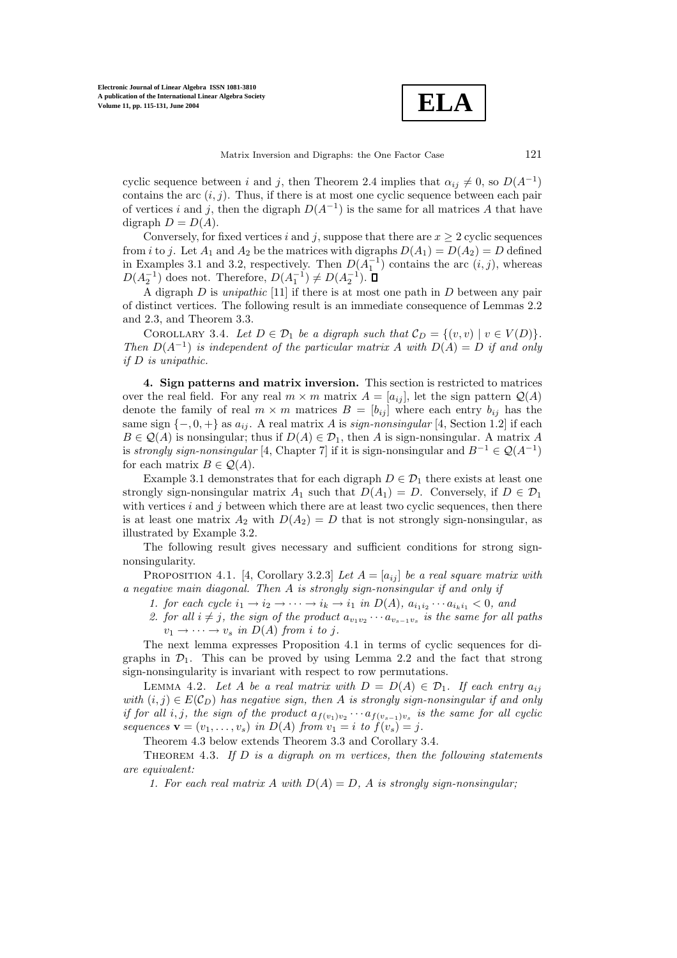**ELA**

cyclic sequence between i and j, then Theorem 2.4 implies that  $\alpha_{ij} \neq 0$ , so  $D(A^{-1})$ contains the arc  $(i, j)$ . Thus, if there is at most one cyclic sequence between each pair of vertices i and j, then the digraph  $D(A^{-1})$  is the same for all matrices A that have digraph  $D = D(A)$ .

Conversely, for fixed vertices i and j, suppose that there are  $x \ge 2$  cyclic sequences from i to j. Let  $A_1$  and  $A_2$  be the matrices with digraphs  $D(A_1) = D(A_2) = D$  defined from *i* to *j*. Let  $A_1$  and  $A_2$  be the matrices with digraphs  $D(A_1) = D(A_2) = D$  defined<br>in Examples 3.1 and 3.2, respectively. Then  $D(A^{-1})$  contains the arc *(i, j)* whereas in Examples 3.1 and 3.2, respectively. Then  $D(A_1^{-1})$  contains the arc  $(i, j)$ , whereas  $D(A^{-1})$  does not Therefore,  $D(A^{-1}) \neq D(A^{-1})$   $\Box$  $D(A_2^{-1})$  does not. Therefore,  $D(A_1^{-1}) \neq D(A_2^{-1})$ .<br>A digraph D is uning this [11] if there is at me

A digraph D is *unipathic* [11] if there is at most one path in D between any pair of distinct vertices. The following result is an immediate consequence of Lemmas 2.2 and 2.3, and Theorem 3.3.

COROLLARY 3.4. Let  $D \in \mathcal{D}_1$  be a digraph such that  $\mathcal{C}_D = \{(v, v) \mid v \in V(D)\}.$ *Then*  $D(A^{-1})$  *is independent of the particular matrix* A *with*  $D(A) = D$  *if and only if* D *is unipathic.*

**4. Sign patternsand matrix inversion.** This section is restricted to matrices over the real field. For any real  $m \times m$  matrix  $A = [a_{ij}]$ , let the sign pattern  $\mathcal{Q}(A)$ denote the family of real  $m \times m$  matrices  $B = [b_{ij}]$  where each entry  $b_{ij}$  has the same sign  $\{-0, +\}$  as  $a_{ij}$ . A real matrix A is  $sign-nonsingular$  [4, Section 1.2] if each  $B \in \mathcal{Q}(A)$  is nonsingular; thus if  $D(A) \in \mathcal{D}_1$ , then A is sign-nonsingular. A matrix A is *strongly sign-nonsingular* [4, Chapter 7] if it is sign-nonsingular and  $B^{-1} \in \mathcal{Q}(A^{-1})$ for each matrix  $B \in \mathcal{Q}(A)$ .

Example 3.1 demonstrates that for each digraph  $D \in \mathcal{D}_1$  there exists at least one strongly sign-nonsingular matrix  $A_1$  such that  $D(A_1) = D$ . Conversely, if  $D \in \mathcal{D}_1$ with vertices  $i$  and  $j$  between which there are at least two cyclic sequences, then there is at least one matrix  $A_2$  with  $D(A_2) = D$  that is not strongly sign-nonsingular, as illustrated by Example 3.2.

The following result gives necessary and sufficient conditions for strong signnonsingularity.

PROPOSITION 4.1. [4, Corollary 3.2.3] *Let*  $A = [a_{ij}]$  *be a real square matrix with a negative main diagonal. Then* A *is strongly sign-nonsingular if and only if*

*1. for each cycle*  $i_1 \rightarrow i_2 \rightarrow \cdots \rightarrow i_k \rightarrow i_1$  *in*  $D(A)$ *,*  $a_{i_1 i_2} \cdots a_{i_k i_1} < 0$ *, and* 

2. for all  $i \neq j$ , the sign of the product  $a_{v_1v_2} \cdots a_{v_{s-1}v_s}$  *is the same for all paths*  $v_1 \rightarrow \cdots \rightarrow v_s$  *in*  $D(A)$  *from i to j*.

The next lemma expresses Proposition 4.1 in terms of cyclic sequences for digraphs in  $\mathcal{D}_1$ . This can be proved by using Lemma 2.2 and the fact that strong sign-nonsingularity is invariant with respect to row permutations.

LEMMA 4.2. Let A be a real matrix with  $D = D(A) \in \mathcal{D}_1$ . If each entry  $a_{ij}$ *with*  $(i, j) \in E(C_D)$  *has negative sign, then* A *is strongly sign-nonsingular if and only if for all i, j, the sign of the product*  $a_{f(v_1)v_2} \cdots a_{f(v_{s-1})v_s}$  *is the same for all cyclic sequences*  $\mathbf{v} = (v_1, \ldots, v_s)$  *in*  $D(A)$  *from*  $v_1 = i$  *to*  $f(v_s) = j$ *.* 

Theorem 4.3 below extends Theorem 3.3 and Corollary 3.4.

Theorem 4.3. *If* D *is a digraph on* m *vertices, then the following statements are equivalent:*

*1. For each real matrix*  $A$  *with*  $D(A) = D$ ,  $A$  *is strongly sign-nonsingular;*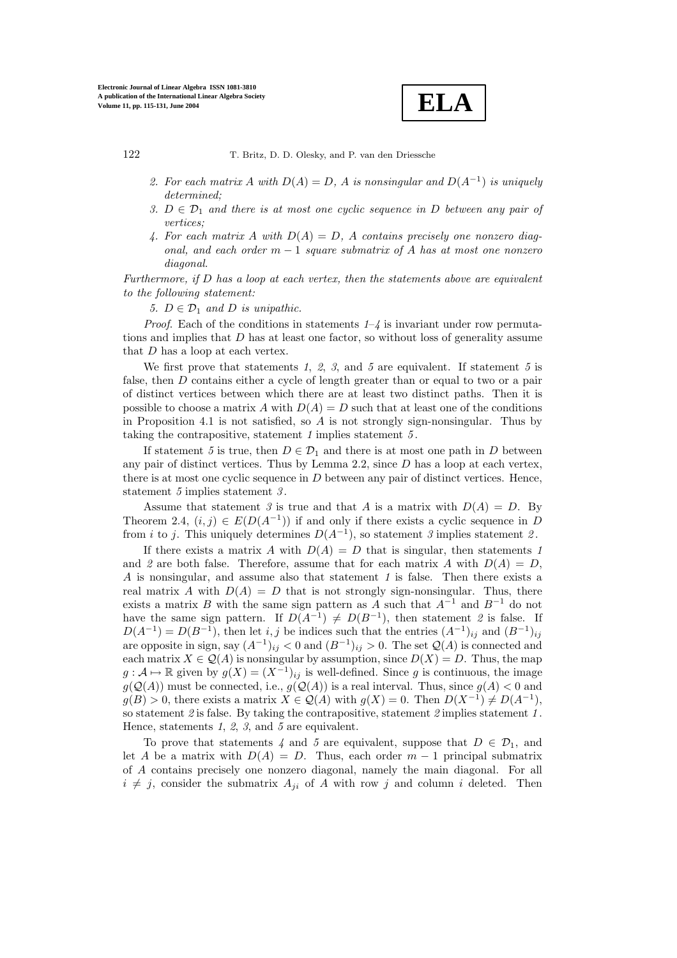**ELA**

- 2. For each matrix A with  $D(A) = D$ , A is nonsingular and  $D(A^{-1})$  is uniquely *determined;*
- *3.*  $D \in \mathcal{D}_1$  *and there is at most one cyclic sequence in* D *between any pair of vertices;*
- *4. For each matrix* A *with* D(A) = D*,* A *contains precisely one nonzero diagonal, and each order* m <sup>−</sup> <sup>1</sup> *square submatrix of* A *has at most one nonzero diagonal.*

*Furthermore, if* D *has a loop at each vertex, then the statements above are equivalent to the following statement:*

*5.*  $D \in \mathcal{D}_1$  *and D is unipathic.* 

*Proof*. Each of the conditions in statements *1*–*4* is invariant under row permutations and implies that D has at least one factor, so without loss of generality assume that D has a loop at each vertex.

We first prove that statements *1*, *2*, *3*, and *5* are equivalent. If statement *5* is false, then D contains either a cycle of length greater than or equal to two or a pair of distinct vertices between which there are at least two distinct paths. Then it is possible to choose a matrix A with  $D(A) = D$  such that at least one of the conditions in Proposition 4.1 is not satisfied, so  $A$  is not strongly sign-nonsingular. Thus by taking the contrapositive, statement *1* implies statement *5* .

If statement 5 is true, then  $D \in \mathcal{D}_1$  and there is at most one path in D between any pair of distinct vertices. Thus by Lemma 2.2, since D has a loop at each vertex, there is at most one cyclic sequence in  $D$  between any pair of distinct vertices. Hence, statement *5* implies statement *3* .

Assume that statement 3 is true and that A is a matrix with  $D(A) = D$ . By Theorem 2.4,  $(i, j) \in E(D(A^{-1}))$  if and only if there exists a cyclic sequence in D from *i* to *j*. This uniquely determines  $D(A^{-1})$ , so statement *3* implies statement *2*.

If there exists a matrix A with  $D(A) = D$  that is singular, then statements 1 and 2 are both false. Therefore, assume that for each matrix A with  $D(A) = D$ , A is nonsingular, and assume also that statement *<sup>1</sup>* is false. Then there exists a real matrix A with  $D(A) = D$  that is not strongly sign-nonsingular. Thus, there exists a matrix B with the same sign pattern as A such that  $A^{-1}$  and  $B^{-1}$  do not have the same sign pattern. If  $D(A^{-1}) \neq D(B^{-1})$ , then statement 2 is false. If  $D(A^{-1}) = D(B^{-1})$ , then let i, j be indices such that the entries  $(A^{-1})_{ij}$  and  $(B^{-1})_{ij}$ are opposite in sign, say  $(A^{-1})_{ij} < 0$  and  $(B^{-1})_{ij} > 0$ . The set  $\mathcal{Q}(A)$  is connected and each matrix  $X \in \mathcal{Q}(A)$  is nonsingular by assumption, since  $D(X) = D$ . Thus, the map  $g: \mathcal{A} \mapsto \mathbb{R}$  given by  $g(X)=(X^{-1})_{ij}$  is well-defined. Since g is continuous, the image  $g(\mathcal{Q}(A))$  must be connected, i.e.,  $g(\mathcal{Q}(A))$  is a real interval. Thus, since  $g(A) < 0$  and  $g(B) > 0$ , there exists a matrix  $X \in \mathcal{Q}(A)$  with  $g(X) = 0$ . Then  $D(X^{-1}) \neq D(A^{-1})$ , so statement *2* is false. By taking the contrapositive, statement *2* implies statement *1* . Hence, statements *1*, *2*, *3*, and *5* are equivalent.

To prove that statements 4 and 5 are equivalent, suppose that  $D \in \mathcal{D}_1$ , and let A be a matrix with  $D(A) = D$ . Thus, each order  $m-1$  principal submatrix of A contains precisely one nonzero diagonal, namely the main diagonal. For all  $i \neq j$ , consider the submatrix  $A_{ji}$  of A with row j and column i deleted. Then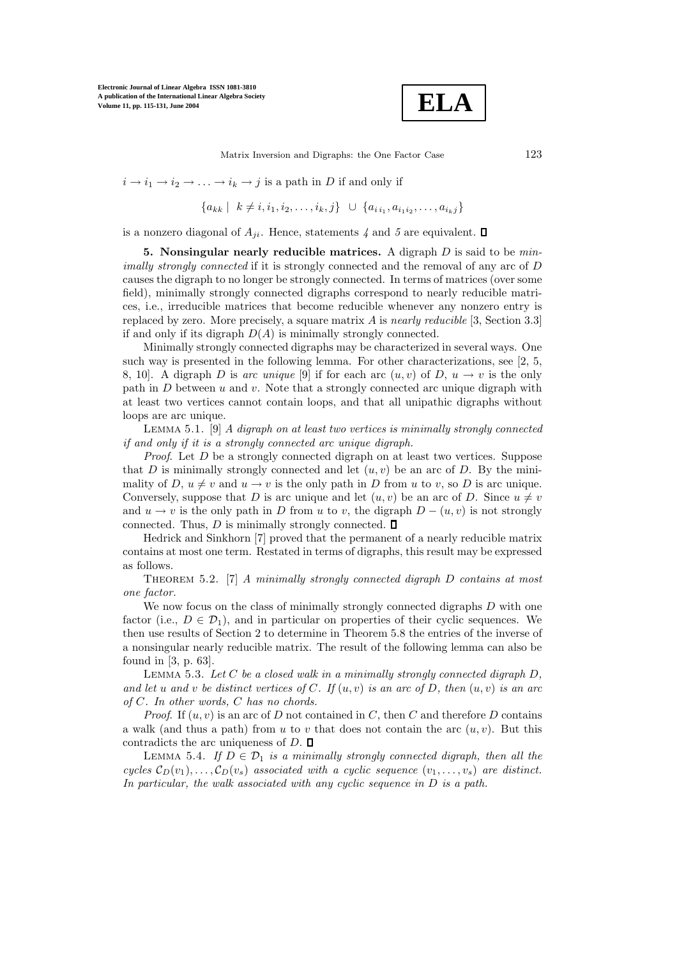

Matrix Inversion and Digraphs: the One Factor Case 123

 $i \to i_1 \to i_2 \to \ldots \to i_k \to j$  is a path in D if and only if

$$
\{a_{kk} \mid k \neq i, i_1, i_2, \dots, i_k, j\} \cup \{a_{i i_1}, a_{i_1 i_2}, \dots, a_{i_k j}\}\
$$

is a nonzero diagonal of  $A_{ii}$ . Hence, statements  $\chi$  and  $\delta$  are equivalent.  $\Box$ 

**5. Nonsingular nearly reducible matrices.** A digraph D is said to be *minimally strongly connected* if it is strongly connected and the removal of any arc of D causes the digraph to no longer be strongly connected. In terms of matrices (over some field), minimally strongly connected digraphs correspond to nearly reducible matrices, i.e., irreducible matrices that become reducible whenever any nonzero entry is replaced by zero. More precisely, a square matrix A is *nearly reducible* [3, Section 3.3] if and only if its digraph  $D(A)$  is minimally strongly connected.

Minimally strongly connected digraphs may be characterized in several ways. One such way is presented in the following lemma. For other characterizations, see  $[2, 5, 5]$ 8, 10. A digraph D is arc unique [9] if for each arc  $(u, v)$  of D,  $u \to v$  is the only path in  $D$  between  $u$  and  $v$ . Note that a strongly connected arc unique digraph with at least two vertices cannot contain loops, and that all unipathic digraphs without loops are arc unique.

Lemma 5.1. [9] *A digraph on at least two vertices is minimally strongly connected if and only if it is a strongly connected arc unique digraph.*

*Proof*. Let D be a strongly connected digraph on at least two vertices. Suppose that D is minimally strongly connected and let  $(u, v)$  be an arc of D. By the minimality of D,  $u \neq v$  and  $u \rightarrow v$  is the only path in D from u to v, so D is arc unique. Conversely, suppose that D is arc unique and let  $(u, v)$  be an arc of D. Since  $u \neq v$ and  $u \to v$  is the only path in D from u to v, the digraph  $D - (u, v)$  is not strongly connected. Thus,  $D$  is minimally strongly connected.  $\square$ 

Hedrick and Sinkhorn [7] proved that the permanent of a nearly reducible matrix contains at most one term. Restated in terms of digraphs, this result may be expressed as follows.

Theorem 5.2. [7] *A minimally strongly connected digraph* D *contains at most one factor.*

We now focus on the class of minimally strongly connected digraphs  $D$  with one factor (i.e.,  $D \in \mathcal{D}_1$ ), and in particular on properties of their cyclic sequences. We then use results of Section 2 to determine in Theorem 5.8 the entries of the inverse of a nonsingular nearly reducible matrix. The result of the following lemma can also be found in [3, p. 63].

Lemma 5.3. *Let* C *be a closed walk in a minimally strongly connected digraph* D*, and let* u *and* v *be distinct vertices of* C*. If* (u, v) *is an arc of* D*, then* (u, v) *is an arc of* C*. In other words,* C *has no chords.*

*Proof.* If  $(u, v)$  is an arc of D not contained in C, then C and therefore D contains a walk (and thus a path) from u to v that does not contain the arc  $(u, v)$ . But this contradicts the arc uniqueness of  $D$ .  $\square$ 

LEMMA 5.4. If  $D \in \mathcal{D}_1$  *is a minimally strongly connected digraph, then all the cycles*  $\mathcal{C}_D(v_1), \ldots, \mathcal{C}_D(v_s)$  *associated with a cyclic sequence*  $(v_1, \ldots, v_s)$  *are distinct. In particular, the walk associated with any cyclic sequence in* D *is a path.*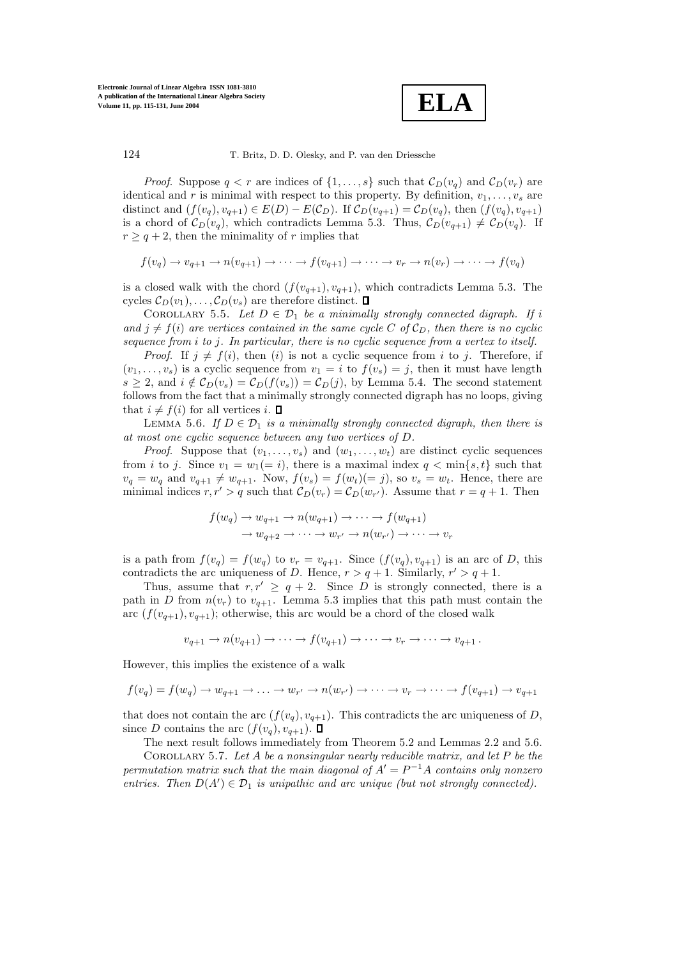

*Proof.* Suppose  $q < r$  are indices of  $\{1, \ldots, s\}$  such that  $\mathcal{C}_D(v_q)$  and  $\mathcal{C}_D(v_r)$  are identical and r is minimal with respect to this property. By definition,  $v_1, \ldots, v_s$  are distinct and  $(f(v_q), v_{q+1}) \in E(D) - E(\mathcal{C}_D)$ . If  $\mathcal{C}_D(v_{q+1}) = \mathcal{C}_D(v_q)$ , then  $(f(v_q), v_{q+1})$ is a chord of  $\mathcal{C}_D(v_q)$ , which contradicts Lemma 5.3. Thus,  $\mathcal{C}_D(v_{q+1}) \neq \mathcal{C}_D(v_q)$ . If  $r > q + 2$ , then the minimality of r implies that

$$
f(v_q) \to v_{q+1} \to n(v_{q+1}) \to \cdots \to f(v_{q+1}) \to \cdots \to v_r \to n(v_r) \to \cdots \to f(v_q)
$$

is a closed walk with the chord  $(f(v_{q+1}), v_{q+1})$ , which contradicts Lemma 5.3. The cycles  $\mathcal{C}_D(v_1), \ldots, \mathcal{C}_D(v_s)$  are therefore distinct.  $\square$ 

COROLLARY 5.5. Let  $D \in \mathcal{D}_1$  be a minimally strongly connected digraph. If i and  $j \neq f(i)$  are vertices contained in the same cycle C of  $\mathcal{C}_D$ , then there is no cyclic *sequence from* i *to* j*. In particular, there is no cyclic sequence from a vertex to itself.*

*Proof.* If  $j \neq f(i)$ , then (i) is not a cyclic sequence from i to j. Therefore, if  $(v_1,\ldots,v_s)$  is a cyclic sequence from  $v_1 = i$  to  $f(v_s) = j$ , then it must have length  $s \geq 2$ , and  $i \notin C_D(v_s) = C_D(f(v_s)) = C_D(j)$ , by Lemma 5.4. The second statement follows from the fact that a minimally strongly connected digraph has no loops, giving that  $i \neq f(i)$  for all vertices i.  $\Box$ 

LEMMA 5.6. If  $D \in \mathcal{D}_1$  *is a minimally strongly connected digraph, then there is at most one cyclic sequence between any two vertices of* D*.*

*Proof.* Suppose that  $(v_1, \ldots, v_s)$  and  $(w_1, \ldots, w_t)$  are distinct cyclic sequences from i to j. Since  $v_1 = w_1 (= i)$ , there is a maximal index  $q < \min\{s, t\}$  such that  $v_q = w_q$  and  $v_{q+1} \neq w_{q+1}$ . Now,  $f(v_s) = f(w_t)(=j)$ , so  $v_s = w_t$ . Hence, there are minimal indices  $r, r' > q$  such that  $C_D(v_r) = C_D(w_{r'})$ . Assume that  $r = q + 1$ . Then

$$
f(w_q) \to w_{q+1} \to n(w_{q+1}) \to \cdots \to f(w_{q+1})
$$
  

$$
\to w_{q+2} \to \cdots \to w_{r'} \to n(w_{r'}) \to \cdots \to v_r
$$

is a path from  $f(v_q) = f(w_q)$  to  $v_r = v_{q+1}$ . Since  $(f(v_q), v_{q+1})$  is an arc of D, this contradicts the arc uniqueness of D. Hence,  $r > q + 1$ . Similarly,  $r' > q + 1$ .

Thus, assume that  $r, r' \ge q + 2$ . Since D is strongly connected, there is a path in D from  $n(v_r)$  to  $v_{q+1}$ . Lemma 5.3 implies that this path must contain the arc  $(f(v_{q+1}), v_{q+1})$ ; otherwise, this arc would be a chord of the closed walk

$$
v_{q+1} \to n(v_{q+1}) \to \cdots \to f(v_{q+1}) \to \cdots \to v_r \to \cdots \to v_{q+1}.
$$

However, this implies the existence of a walk

$$
f(v_q) = f(w_q) \to w_{q+1} \to \dots \to w_{r'} \to n(w_{r'}) \to \dots \to v_r \to \dots \to f(v_{q+1}) \to v_{q+1}
$$

that does not contain the arc  $(f(v_q), v_{q+1})$ . This contradicts the arc uniqueness of D, since D contains the arc  $(f(v_q), v_{q+1})$ .  $\Box$ 

The next result follows immediately from Theorem 5.2 and Lemmas 2.2 and 5.6.

Corollary 5.7. *Let* A *be a nonsingular nearly reducible matrix, and let* P *be the permutation matrix such that the main diagonal of*  $A' = P^{-1}A$  *contains only nonzero entries. Then*  $D(A') \in \mathcal{D}_1$  *is unipathic and arc unique (but not strongly connected).*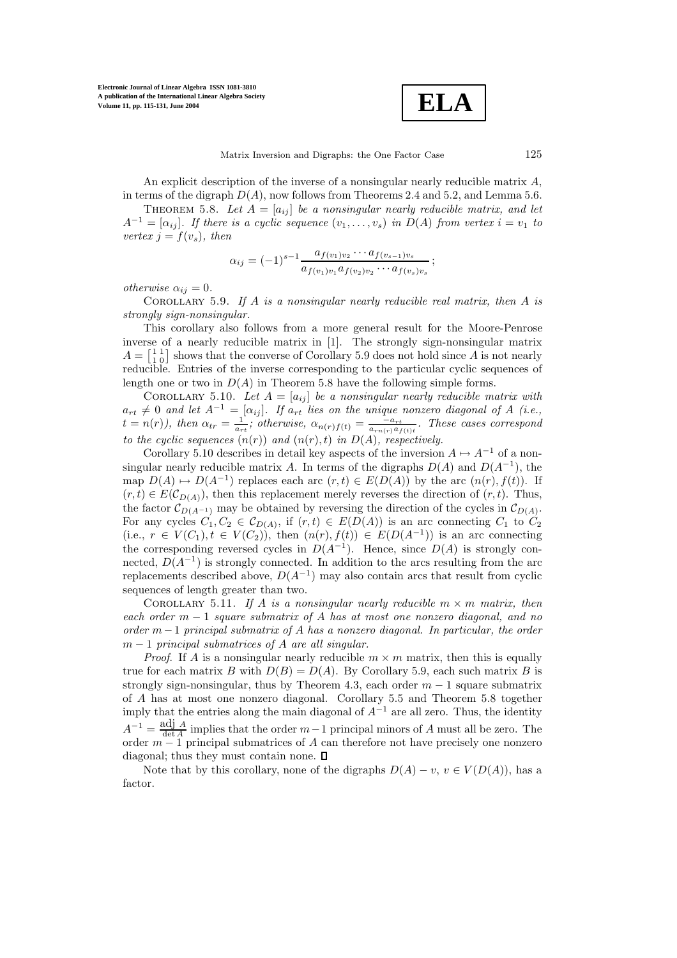

An explicit description of the inverse of a nonsingular nearly reducible matrix  $A$ , in terms of the digraph  $D(A)$ , now follows from Theorems 2.4 and 5.2, and Lemma 5.6.

THEOREM 5.8. Let  $A = [a_{ij}]$  be a nonsingular nearly reducible matrix, and let  $A^{-1} = [\alpha_{ij}]$ . If there is a cyclic sequence  $(v_1, \ldots, v_s)$  in  $D(A)$  from vertex  $i = v_1$  to *vertex*  $j = f(v_s)$ , then

$$
\alpha_{ij} = (-1)^{s-1} \frac{a_{f(v_1)v_2} \cdots a_{f(v_{s-1})v_s}}{a_{f(v_1)v_1} a_{f(v_2)v_2} \cdots a_{f(v_s)v_s}};
$$

*otherwise*  $\alpha_{ij} = 0$ *.* 

Corollary 5.9. *If* A *is a nonsingular nearly reducible real matrix, then* A *is strongly sign-nonsingular.*

This corollary also follows from a more general result for the Moore-Penrose inverse of a nearly reducible matrix in [1]. The strongly sign-nonsingular matrix  $A = \begin{bmatrix} 1 & 1 \\ 1 & 0 \end{bmatrix}$  shows that the converse of Corollary 5.9 does not hold since A is not nearly reducible. Entries of the inverse corresponding to the particular cyclic sequences of length one or two in  $D(A)$  in Theorem 5.8 have the following simple forms.

COROLLARY 5.10. Let  $A = [a_{ij}]$  be a nonsingular nearly reducible matrix with  $a_{rt} \neq 0$  and let  $A^{-1} = [\alpha_{ij}]$ . If  $a_{rt}$  lies on the unique nonzero diagonal of A *(i.e.*,  $t = n(r)$ ), then  $\alpha_i = \frac{1}{r}$ ; otherwise  $\alpha_i$  (i.e.)  $t = n(r)$ ), then  $\alpha_{tr} = \frac{1}{a_{rt}}$ ; otherwise,  $\alpha_{n(r)} f(t) = \frac{1}{a_{rt}}$ , These cases correspond *to the cyclic sequences*  $(n(r))$  *and*  $(n(r), t)$  *in*  $D(A)$ *, respectively.* 

Corollary 5.10 describes in detail key aspects of the inversion  $A \mapsto A^{-1}$  of a nonsingular nearly reducible matrix A. In terms of the digraphs  $D(A)$  and  $D(A^{-1})$ , the map  $D(A) \mapsto D(A^{-1})$  replaces each arc  $(r, t) \in E(D(A))$  by the arc  $(n(r), f(t))$ . If  $(r, t) \in E(C_{D(A)})$ , then this replacement merely reverses the direction of  $(r, t)$ . Thus, the factor  $\mathcal{C}_{D(A^{-1})}$  may be obtained by reversing the direction of the cycles in  $\mathcal{C}_{D(A)}$ . For any cycles  $C_1, C_2 \in \mathcal{C}_{D(A)}$ , if  $(r, t) \in E(D(A))$  is an arc connecting  $C_1$  to  $C_2$ (i.e.,  $r \in V(C_1), t \in V(C_2)$ ), then  $(n(r), f(t)) \in E(D(A^{-1}))$  is an arc connecting the corresponding reversed cycles in  $D(A^{-1})$ . Hence, since  $D(A)$  is strongly connected,  $D(A^{-1})$  is strongly connected. In addition to the arcs resulting from the arc replacements described above,  $D(A^{-1})$  may also contain arcs that result from cyclic sequences of length greater than two.

COROLLARY 5.11. If A *is a nonsingular nearly reducible*  $m \times m$  *matrix, then each order* m <sup>−</sup> <sup>1</sup> *square submatrix of* A *has at most one nonzero diagonal, and no order* m−<sup>1</sup> *principal submatrix of* A *has a nonzero diagonal. In particular, the order* m <sup>−</sup> <sup>1</sup> *principal submatrices of* A *are all singular.*

*Proof.* If A is a nonsingular nearly reducible  $m \times m$  matrix, then this is equally true for each matrix B with  $D(B) = D(A)$ . By Corollary 5.9, each such matrix B is strongly sign-nonsingular, thus by Theorem 4.3, each order  $m-1$  square submatrix of A has at most one nonzero diagonal. Corollary 5.5 and Theorem 5.8 together imply that the entries along the main diagonal of  $A^{-1}$  are all zero. Thus, the identity  $A^{-1} = \frac{\text{adj }A}{\det A}$  implies that the order  $m-1$  principal minors of A must all be zero. The order  $m-1$  principal submatrices of A can therefore not have precisely one nonzero diagonal: thus they must contain none  $\Box$ diagonal; thus they must contain none.  $\square$ 

Note that by this corollary, none of the digraphs  $D(A) - v$ ,  $v \in V(D(A))$ , has a factor.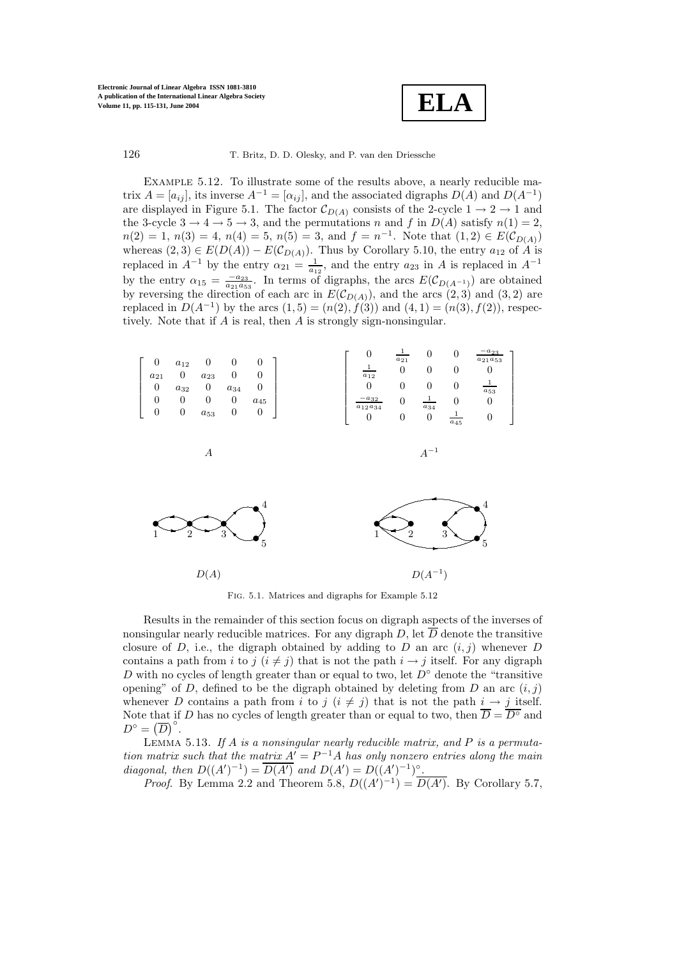

Example 5.12. To illustrate some of the results above, a nearly reducible matrix  $A = [a_{ij}]$ , its inverse  $A^{-1} = [a_{ij}]$ , and the associated digraphs  $D(A)$  and  $D(A^{-1})$ are displayed in Figure 5.1. The factor  $\mathcal{C}_{D(A)}$  consists of the 2-cycle  $1 \rightarrow 2 \rightarrow 1$  and the 3-cycle  $3 \rightarrow 4 \rightarrow 5 \rightarrow 3$ , and the permutations n and f in  $D(A)$  satisfy  $n(1) = 2$ ,  $n(2) = 1, n(3) = 4, n(4) = 5, n(5) = 3, \text{ and } f = n^{-1}$ . Note that  $(1, 2) \in E(C_{D(A)})$ whereas  $(2,3) \in E(D(A)) - E(\mathcal{C}_{D(A)})$ . Thus by Corollary 5.10, the entry  $a_{12}$  of A is replaced in  $A^{-1}$  by the entry  $\alpha_{21} = \frac{1}{a_{12}}$ , and the entry  $a_{23}$  in A is replaced in  $A^{-1}$ by the entry  $\alpha_{15} = \frac{-a_{23}}{a_{21}a_{53}}$ . In terms of digraphs, the arcs  $E(C_{D(A^{-1})})$  are obtained<br>by reversing the direction of each arc in  $E(C_{D(A^{-1})})$  and the arcs  $(2, 3)$  and  $(3, 2)$  are by reversing the direction of each arc in  $E(\mathcal{C}_{D(A)})$ , and the arcs  $(2,3)$  and  $(3,2)$  are<br>replaced in  $D(A^{-1})$  by the arcs  $(1, 5) - (n(2), f(3))$  and  $(4, 1) - (n(3), f(2))$  respectively replaced in  $D(A^{-1})$  by the arcs  $(1, 5) = (n(2), f(3))$  and  $(4, 1) = (n(3), f(2))$ , respectively. Note that if A is real, then A is strongly sign-nonsingular.



Fig. 5.1. Matrices and digraphs for Example 5.12

Results in the remainder of this section focus on digraph aspects of the inverses of nonsingular nearly reducible matrices. For any digraph D, let  $\overline{D}$  denote the transitive closure of D, i.e., the digraph obtained by adding to D an arc  $(i, j)$  whenever D contains a path from i to j  $(i \neq j)$  that is not the path  $i \rightarrow j$  itself. For any digraph D with no cycles of length greater than or equal to two, let  $D^{\circ}$  denote the "transitive" opening" of D, defined to be the digraph obtained by deleting from D an arc  $(i, j)$ whenever D contains a path from i to j  $(i \neq j)$  that is not the path  $i \to j$  itself. Note that if D has no cycles of length greater than or equal to two, then  $\overline{D} = \overline{D^{\circ}}$  and  $D^{\circ} = (\overline{D})^{\circ}.$ <br>LEMMA

Lemma 5.13. *If* A *is a nonsingular nearly reducible matrix, and* P *is a permutation matrix such that the matrix*  $A' = P^{-1}A$  *has only nonzero entries along the main diagonal, then*  $D((A')^{-1}) = \overline{D(A')}$  and  $D(A') = D((A')^{-1})^{\circ}$ .<br>*Proof* By Lemma 2.2 and Theorem 5.8  $D((A')^{-1}) = \overline{D(A')}$ 

*Proof.* By Lemma 2.2 and Theorem 5.8,  $D((A')^{-1}) = \overline{D(A')}$ . By Corollary 5.7,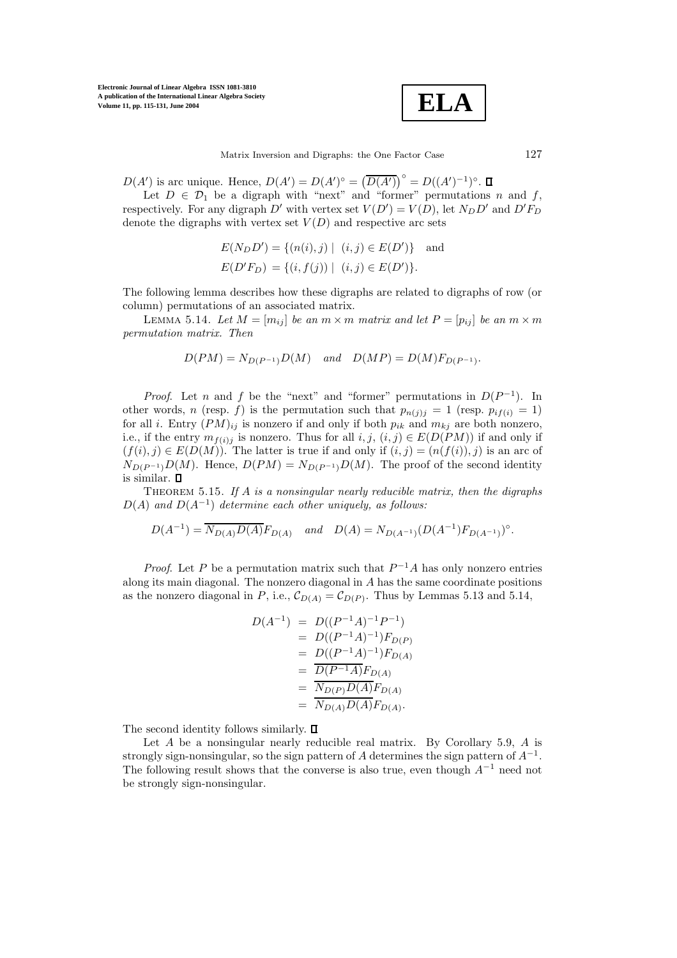**ELA**

 $D(A')$  is arc unique. Hence,  $D(A') = D(A')^{\circ} = (\overline{D(A')})^{\circ} = D((A')^{-1})^{\circ}$ .<br>Let  $D \in \mathcal{D}_c$  be a digraph with "next" and "former" permutation

Let  $D \in \mathcal{D}_1$  be a digraph with "next" and "former" permutations n and f, respectively. For any digraph D' with vertex set  $V(D') = V(D)$ , let  $N_D D'$  and  $D' F_D$ <br>denote the digraphs with vertex set  $V(D)$  and respective arc sets denote the digraphs with vertex set  $V(D)$  and respective arc sets

$$
E(N_D D') = \{(n(i), j) | (i, j) \in E(D')\} \text{ and}
$$
  

$$
E(D'F_D) = \{(i, f(j)) | (i, j) \in E(D')\}.
$$

The following lemma describes how these digraphs are related to digraphs of row (or column) permutations of an associated matrix.

LEMMA 5.14. Let  $M = [m_{ij}]$  be an  $m \times m$  matrix and let  $P = [p_{ij}]$  be an  $m \times m$ *permutation matrix. Then*

$$
D(PM) = N_{D(P^{-1})}D(M)
$$
 and  $D(MP) = D(M)F_{D(P^{-1})}$ .

*Proof.* Let n and f be the "next" and "former" permutations in  $D(P^{-1})$ . In other words, n (resp. f) is the permutation such that  $p_{n(j)j} = 1$  (resp.  $p_{if(i)} = 1$ ) for all *i*. Entry  $(PM)_{ij}$  is nonzero if and only if both  $p_{ik}$  and  $m_{kj}$  are both nonzero, i.e., if the entry  $m_{f(i)j}$  is nonzero. Thus for all  $i, j, (i, j) \in E(D(PM))$  if and only if  $(f(i), j) \in E(D(M))$ . The latter is true if and only if  $(i, j) = (n(f(i)), j)$  is an arc of  $N_{D(P^{-1})}D(M)$ . Hence,  $D(PM) = N_{D(P^{-1})}D(M)$ . The proof of the second identity is similar.  $\square$ 

Theorem 5.15. *If* A *is a nonsingular nearly reducible matrix, then the digraphs* <sup>D</sup>(A) *and* <sup>D</sup>(A<sup>−</sup><sup>1</sup>) *determine each other uniquely, as follows:*

$$
D(A^{-1}) = \overline{N_{D(A)}D(A)}F_{D(A)} \quad and \quad D(A) = N_{D(A^{-1})}(D(A^{-1})F_{D(A^{-1})})^{\circ}.
$$

*Proof.* Let P be a permutation matrix such that  $P^{-1}A$  has only nonzero entries along its main diagonal. The nonzero diagonal in A has the same coordinate positions as the nonzero diagonal in P, i.e.,  $\mathcal{C}_{D(A)} = \mathcal{C}_{D(P)}$ . Thus by Lemmas 5.13 and 5.14,

$$
D(A^{-1}) = D((P^{-1}A)^{-1}P^{-1})
$$
  
=  $D((P^{-1}A)^{-1})F_{D(P)}$   
=  $D((P^{-1}A)^{-1})F_{D(A)}$   
=  $\frac{D(P^{-1}A)F_{D(A)}}{N_{D(P)}D(A)F_{D(A)}}$   
=  $\frac{N_{D(P)}D(A)}{N_{D(A)}D(A)F_{D(A)}}$ .

The second identity follows similarly.  $\square$ 

Let  $A$  be a nonsingular nearly reducible real matrix. By Corollary 5.9,  $A$  is strongly sign-nonsingular, so the sign pattern of A determines the sign pattern of  $A^{-1}$ . The following result shows that the converse is also true, even though  $A^{-1}$  need not be strongly sign-nonsingular.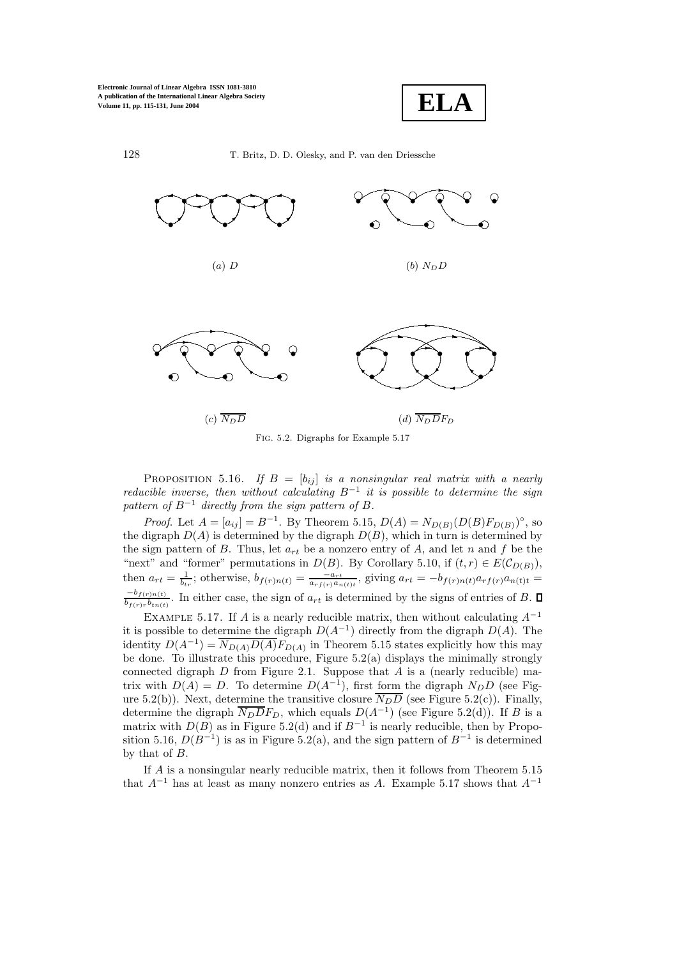128





T. Britz, D. D. Olesky, and P. van den Driessche

FIG. 5.2. Digraphs for Example 5.17

**PROPOSITION** 5.16. If  $B = [b_{ij}]$  is a nonsingular real matrix with a nearly reducible inverse, then without calculating  $B^{-1}$  it is possible to determine the sign pattern of  $B^{-1}$  directly from the sign pattern of B.

*Proof.* Let  $A = [a_{ij}] = B^{-1}$ . By Theorem 5.15,  $D(A) = N_{D(B)}(D(B)F_{D(B)})^{\circ}$ , so the digraph  $D(A)$  is determined by the digraph  $D(B)$ , which in turn is determined by the sign pattern of B. Thus, let  $a_{rt}$  be a nonzero entry of A, and let n and f be the "next" and "former" permutations in  $D(B)$ . By Corollary 5.10, if  $(t,r) \in E(C_{D(B)})$ ,<br>then  $a_{rt} = \frac{1}{b_{tr}}$ ; otherwise,  $b_{f(r)n(t)} = \frac{-a_{rt}}{a_{rf(r)}a_{n(t)t}}$ , giving  $a_{rt} = -b_{f(r)n(t)}a_{rf(r)}a_{n(t)t}$  $\frac{-b_{f(r)n(t)}}{b_{f(r)r}b_{tn(t)}}$ . In either case, the sign of  $a_{rt}$  is determined by the signs of entries of B.  $\Box$ 

EXAMPLE 5.17. If A is a nearly reducible matrix, then without calculating  $A^{-1}$ it is possible to determine the digraph  $D(A^{-1})$  directly from the digraph  $D(A)$ . The identity  $D(A^{-1}) = \overline{N_{D(A)}D(A)}F_{D(A)}$  in Theorem 5.15 states explicitly how this may be done. To illustrate this procedure, Figure  $5.2(a)$  displays the minimally strongly connected digraph  $D$  from Figure 2.1. Suppose that  $A$  is a (nearly reducible) matrix with  $D(A) = D$ . To determine  $D(A^{-1})$ , first form the digraph  $N_D D$  (see Figure 5.2(b)). Next, determine the transitive closure  $\overline{N_D D}$  (see Figure 5.2(c)). Finally, determine the digraph  $\overline{N_D}\overline{D}F_D$ , which equals  $D(A^{-1})$  (see Figure 5.2(d)). If B is a matrix with  $D(B)$  as in Figure 5.2(d) and if  $B^{-1}$  is nearly reducible, then by Proposition 5.16,  $D(B^{-1})$  is as in Figure 5.2(a), and the sign pattern of  $B^{-1}$  is determined by that of  $B$ .

If A is a nonsingular nearly reducible matrix, then it follows from Theorem 5.15 that  $A^{-1}$  has at least as many nonzero entries as A. Example 5.17 shows that  $A^{-1}$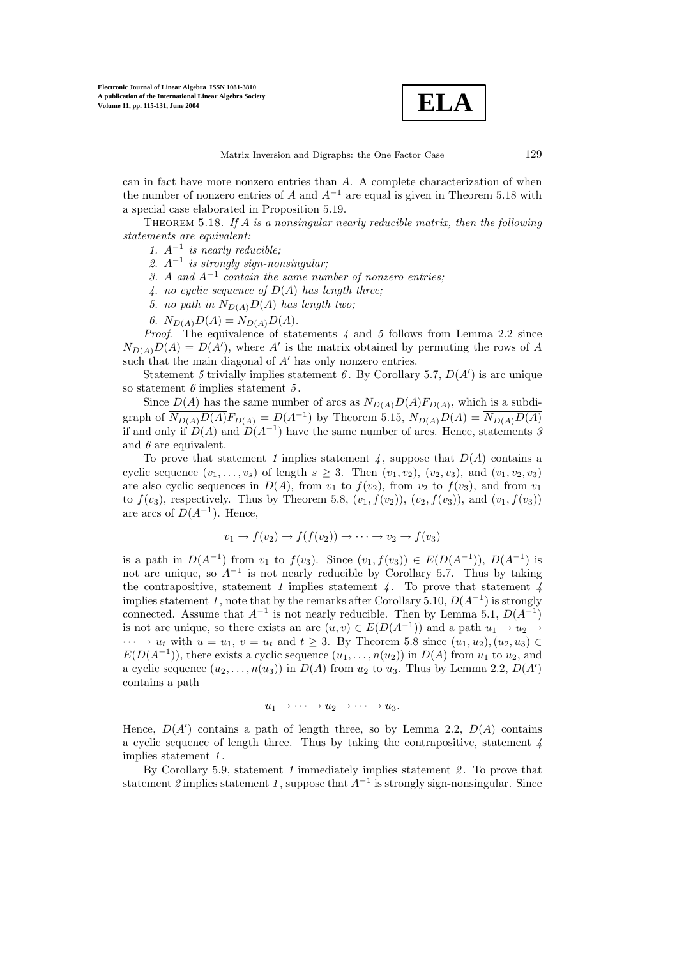**ELA**

can in fact have more nonzero entries than A. A complete characterization of when the number of nonzero entries of A and  $A^{-1}$  are equal is given in Theorem 5.18 with a special case elaborated in Proposition 5.19.

Theorem 5.18. *If* A *is a nonsingular nearly reducible matrix, then the following statements are equivalent:*

- *1.* A−<sup>1</sup> *is nearly reducible;*
- *2.* A−<sup>1</sup> *is strongly sign-nonsingular;*
- *3.* <sup>A</sup> *and* <sup>A</sup>−<sup>1</sup> *contain the same number of nonzero entries;*
- *4. no cyclic sequence of* D(A) *has length three;*
- 5. no path in  $N_{D(A)}D(A)$  has length two;
- 6.  $N_{D(A)}D(A) = \overline{N_{D(A)}D(A)}$ .

*Proof*. The equivalence of statements *4* and *5* follows from Lemma 2.2 since  $N_{D(A)}D(A) = D(A')$ , where A' is the matrix obtained by permuting the rows of A such that the main diagonal of A' has only ponzero entries such that the main diagonal of  $A'$  has only nonzero entries.

Statement 5 trivially implies statement 6. By Corollary 5.7,  $D(A')$  is arc unique<br>tatement 6 implies statement 5 so statement *6* implies statement *5* .

Since  $D(A)$  has the same number of arcs as  $N_{D(A)}D(A)F_{D(A)}$ , which is a subdigraph of  $\overline{N_{D(A)}D(A)}F_{D(A)} = D(A^{-1})$  by Theorem 5.15,  $N_{D(A)}D(A) = \overline{N_{D(A)}D(A)}$ if and only if  $D(A)$  and  $D(A^{-1})$  have the same number of arcs. Hence, statements 3 and *6* are equivalent.

To prove that statement 1 implies statement  $\chi$ , suppose that  $D(A)$  contains a cyclic sequence  $(v_1,\ldots,v_s)$  of length  $s \geq 3$ . Then  $(v_1,v_2), (v_2,v_3)$ , and  $(v_1,v_2,v_3)$ are also cyclic sequences in  $D(A)$ , from  $v_1$  to  $f(v_2)$ , from  $v_2$  to  $f(v_3)$ , and from  $v_1$ to  $f(v_3)$ , respectively. Thus by Theorem 5.8,  $(v_1, f(v_2))$ ,  $(v_2, f(v_3))$ , and  $(v_1, f(v_3))$ are arcs of  $D(A^{-1})$ . Hence,

$$
v_1 \to f(v_2) \to f(f(v_2)) \to \cdots \to v_2 \to f(v_3)
$$

is a path in  $D(A^{-1})$  from  $v_1$  to  $f(v_3)$ . Since  $(v_1, f(v_3)) \in E(D(A^{-1}))$ ,  $D(A^{-1})$  is not arc unique, so  $A^{-1}$  is not nearly reducible by Corollary 5.7. Thus by taking the contrapositive, statement *1* implies statement *4* . To prove that statement *4* implies statement 1, note that by the remarks after Corollary 5.10,  $D(A^{-1})$  is strongly connected. Assume that  $A^{-1}$  is not nearly reducible. Then by Lemma 5.1,  $D(A^{-1})$ is not arc unique, so there exists an arc  $(u, v) \in E(D(A^{-1}))$  and a path  $u_1 \to u_2 \to$  $\cdots \rightarrow u_t$  with  $u = u_1, v = u_t$  and  $t > 3$ . By Theorem 5.8 since  $(u_1, u_2), (u_2, u_3) \in$  $E(D(A^{-1}))$ , there exists a cyclic sequence  $(u_1,\ldots,n(u_2))$  in  $D(A)$  from  $u_1$  to  $u_2$ , and a cyclic sequence  $(u_2, \ldots, u(u_3))$  in  $D(A)$  from  $u_2$  to  $u_3$ . Thus by Lemma 2.2,  $D(A')$ <br>contains a path contains a path

$$
u_1 \to \cdots \to u_2 \to \cdots \to u_3.
$$

Hence,  $D(A')$  contains a path of length three, so by Lemma 2.2,  $D(A)$  contains<br>a cyclic sequence of length three. Thus by taking the contrapositive statement  $\Lambda$ a cyclic sequence of length three. Thus by taking the contrapositive, statement *4* implies statement *1* .

By Corollary 5.9, statement *1* immediately implies statement *2* . To prove that statement 2 implies statement 1, suppose that  $A^{-1}$  is strongly sign-nonsingular. Since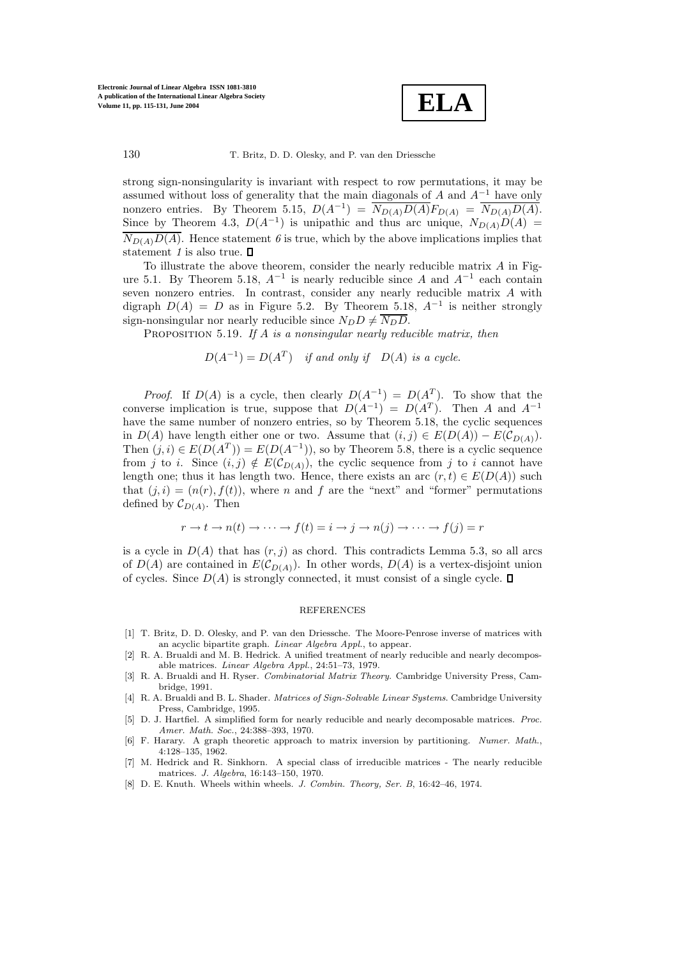

strong sign-nonsingularity is invariant with respect to row permutations, it may be assumed without loss of generality that the main diagonals of A and  $A^{-1}$  have only nonzero entries. By Theorem 5.15,  $D(A^{-1}) = N_{D(A)}D(A)F_{D(A)} = N_{D(A)}D(A)$ . Since by Theorem 4.3,  $D(A^{-1})$  is unipathic and thus arc unique,  $N_{D(A)}D(A) =$  $\overline{N_{D(A)}D(A)}$ . Hence statement 6 is true, which by the above implications implies that statement *1* is also true.

To illustrate the above theorem, consider the nearly reducible matrix  $A$  in Figure 5.1. By Theorem 5.18,  $A^{-1}$  is nearly reducible since A and  $A^{-1}$  each contain seven nonzero entries. In contrast, consider any nearly reducible matrix A with digraph  $D(A) = D$  as in Figure 5.2. By Theorem 5.18,  $A^{-1}$  is neither strongly sign-nonsingular nor nearly reducible since  $N_D D \neq \overline{N_D D}$ .

Proposition 5.19. *If* A *is a nonsingular nearly reducible matrix, then*

$$
D(A^{-1}) = D(A^T) \quad \text{if and only if} \quad D(A) \text{ is a cycle.}
$$

*Proof.* If  $D(A)$  is a cycle, then clearly  $D(A^{-1}) = D(A^T)$ . To show that the converse implication is true, suppose that  $D(A^{-1}) = D(A^T)$ . Then A and  $A^{-1}$ have the same number of nonzero entries, so by Theorem 5.18, the cyclic sequences in  $D(A)$  have length either one or two. Assume that  $(i, j) \in E(D(A)) - E(\mathcal{C}_{D(A)})$ . Then  $(j, i) \in E(D(A^T)) = E(D(A^{-1}))$ , so by Theorem 5.8, there is a cyclic sequence from j to i. Since  $(i, j) \notin E(C_{D(A)})$ , the cyclic sequence from j to i cannot have length one; thus it has length two. Hence, there exists an arc  $(r, t) \in E(D(A))$  such that  $(j, i)=(n(r), f(t))$ , where n and f are the "next" and "former" permutations defined by  $\mathcal{C}_{D(A)}$ . Then

$$
r \to t \to n(t) \to \cdots \to f(t) = i \to j \to n(j) \to \cdots \to f(j) = r
$$

is a cycle in  $D(A)$  that has  $(r, j)$  as chord. This contradicts Lemma 5.3, so all arcs of  $D(A)$  are contained in  $E(C_{D(A)})$ . In other words,  $D(A)$  is a vertex-disjoint union of cycles. Since  $D(A)$  is strongly connected, it must consist of a single cycle.  $\square$ 

## REFERENCES

- [1] T. Britz, D. D. Olesky, and P. van den Driessche. The Moore-Penrose inverse of matrices with an acyclic bipartite graph. *Linear Algebra Appl.*, to appear.
- [2] R. A. Brualdi and M. B. Hedrick. A unified treatment of nearly reducible and nearly decomposable matrices. *Linear Algebra Appl.*, 24:51–73, 1979.
- [3] R. A. Brualdi and H. Ryser. *Combinatorial Matrix Theory*. Cambridge University Press, Cambridge, 1991.
- [4] R. A. Brualdi and B. L. Shader. *Matrices of Sign-Solvable Linear Systems*. Cambridge University Press, Cambridge, 1995.
- [5] D. J. Hartfiel. A simplified form for nearly reducible and nearly decomposable matrices. *Proc. Amer. Math. Soc.*, 24:388–393, 1970.
- [6] F. Harary. A graph theoretic approach to matrix inversion by partitioning. *Numer. Math.*, 4:128–135, 1962.
- [7] M. Hedrick and R. Sinkhorn. A special class of irreducible matrices The nearly reducible matrices. *J. Algebra*, 16:143–150, 1970.
- [8] D. E. Knuth. Wheels within wheels. *J. Combin. Theory, Ser. B*, 16:42–46, 1974.